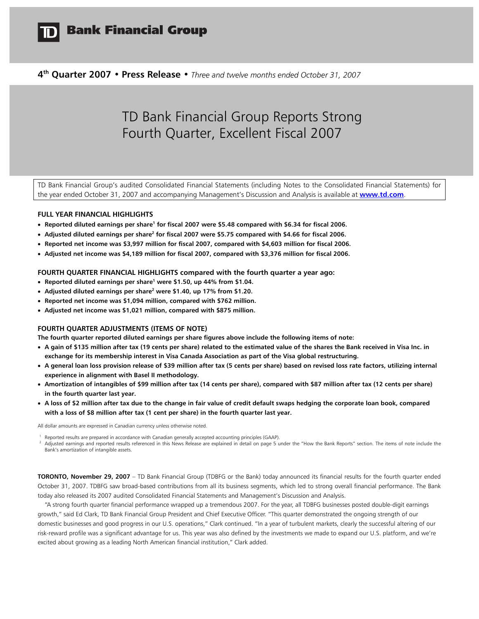

## **Bank Financial Group**

**4th Quarter 2007 • Press Release •** *Three and twelve months ended October 31, 2007* 

# TD Bank Financial Group Reports Strong Fourth Quarter, Excellent Fiscal 2007

TD Bank Financial Group's audited Consolidated Financial Statements (including Notes to the Consolidated Financial Statements) for the year ended October 31, 2007 and accompanying Management's Discussion and Analysis is available at **[www.td.com](http://www.td.com/)**.

## **FULL YEAR FINANCIAL HIGHLIGHTS**

- **Reported diluted earnings per share<sup>1</sup> for fiscal 2007 were \$5.48 compared with \$6.34 for fiscal 2006.**
- **•** Adjusted diluted earnings per share<sup>2</sup> for fiscal 2007 were \$5.75 compared with \$4.66 for fiscal 2006.
- **Reported net income was \$3,997 million for fiscal 2007, compared with \$4,603 million for fiscal 2006.**
- **Adjusted net income was \$4,189 million for fiscal 2007, compared with \$3,376 million for fiscal 2006.**

**FOURTH QUARTER FINANCIAL HIGHLIGHTS compared with the fourth quarter a year ago:** 

- **•** Reported diluted earnings per share<sup>1</sup> were \$1.50, up 44% from \$1.04.
- **•** Adjusted diluted earnings per share<sup>2</sup> were \$1.40, up 17% from \$1.20.
- **Reported net income was \$1,094 million, compared with \$762 million.**
- **Adjusted net income was \$1,021 million, compared with \$875 million.**

#### **FOURTH QUARTER ADJUSTMENTS (ITEMS OF NOTE)**

**The fourth quarter reported diluted earnings per share figures above include the following items of note:** 

- **A gain of \$135 million after tax (19 cents per share) related to the estimated value of the shares the Bank received in Visa Inc. in exchange for its membership interest in Visa Canada Association as part of the Visa global restructuring.**
- **A general loan loss provision release of \$39 million after tax (5 cents per share) based on revised loss rate factors, utilizing internal experience in alignment with Basel II methodology.**
- **Amortization of intangibles of \$99 million after tax (14 cents per share), compared with \$87 million after tax (12 cents per share) in the fourth quarter last year.**
- **A loss of \$2 million after tax due to the change in fair value of credit default swaps hedging the corporate loan book, compared with a loss of \$8 million after tax (1 cent per share) in the fourth quarter last year.**

All dollar amounts are expressed in Canadian currency unless otherwise noted.

<sup>1</sup> Reported results are prepared in accordance with Canadian generally accepted accounting principles (GAAP).<br><sup>2</sup> Adjusted earnings and reported results referenced in this News Release are explained in detail on page 5 un Bank's amortization of intangible assets.

**TORONTO, November 29, 2007** – TD Bank Financial Group (TDBFG or the Bank) today announced its financial results for the fourth quarter ended October 31, 2007. TDBFG saw broad-based contributions from all its business segments, which led to strong overall financial performance. The Bank today also released its 2007 audited Consolidated Financial Statements and Management's Discussion and Analysis.

 "A strong fourth quarter financial performance wrapped up a tremendous 2007. For the year, all TDBFG businesses posted double-digit earnings growth," said Ed Clark, TD Bank Financial Group President and Chief Executive Officer. "This quarter demonstrated the ongoing strength of our domestic businesses and good progress in our U.S. operations," Clark continued. "In a year of turbulent markets, clearly the successful altering of our risk-reward profile was a significant advantage for us. This year was also defined by the investments we made to expand our U.S. platform, and we're excited about growing as a leading North American financial institution," Clark added.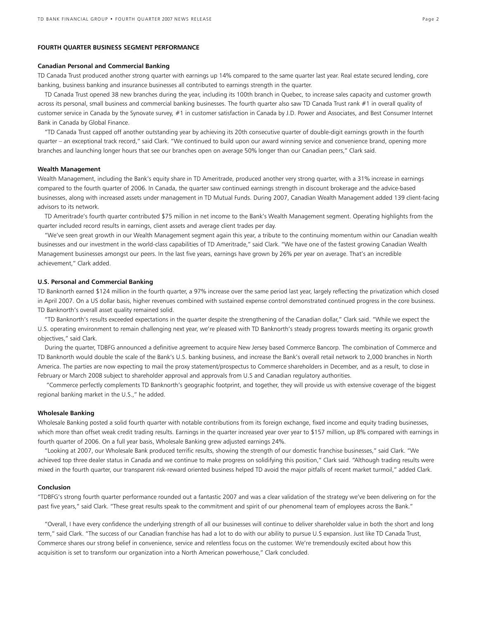### **FOURTH QUARTER BUSINESS SEGMENT PERFORMANCE**

#### **Canadian Personal and Commercial Banking**

TD Canada Trust produced another strong quarter with earnings up 14% compared to the same quarter last year. Real estate secured lending, core banking, business banking and insurance businesses all contributed to earnings strength in the quarter.

 TD Canada Trust opened 38 new branches during the year, including its 100th branch in Quebec, to increase sales capacity and customer growth across its personal, small business and commercial banking businesses. The fourth quarter also saw TD Canada Trust rank #1 in overall quality of customer service in Canada by the Synovate survey, #1 in customer satisfaction in Canada by J.D. Power and Associates, and Best Consumer Internet Bank in Canada by Global Finance.

"TD Canada Trust capped off another outstanding year by achieving its 20th consecutive quarter of double-digit earnings growth in the fourth quarter – an exceptional track record," said Clark. "We continued to build upon our award winning service and convenience brand, opening more branches and launching longer hours that see our branches open on average 50% longer than our Canadian peers," Clark said.

#### **Wealth Management**

Wealth Management, including the Bank's equity share in TD Ameritrade, produced another very strong quarter, with a 31% increase in earnings compared to the fourth quarter of 2006. In Canada, the quarter saw continued earnings strength in discount brokerage and the advice-based businesses, along with increased assets under management in TD Mutual Funds. During 2007, Canadian Wealth Management added 139 client-facing advisors to its network.

TD Ameritrade's fourth quarter contributed \$75 million in net income to the Bank's Wealth Management segment. Operating highlights from the quarter included record results in earnings, client assets and average client trades per day.

"We've seen great growth in our Wealth Management segment again this year, a tribute to the continuing momentum within our Canadian wealth businesses and our investment in the world-class capabilities of TD Ameritrade," said Clark. "We have one of the fastest growing Canadian Wealth Management businesses amongst our peers. In the last five years, earnings have grown by 26% per year on average. That's an incredible achievement," Clark added.

#### **U.S. Personal and Commercial Banking**

TD Banknorth earned \$124 million in the fourth quarter, a 97% increase over the same period last year, largely reflecting the privatization which closed in April 2007. On a US dollar basis, higher revenues combined with sustained expense control demonstrated continued progress in the core business. TD Banknorth's overall asset quality remained solid.

"TD Banknorth's results exceeded expectations in the quarter despite the strengthening of the Canadian dollar," Clark said. "While we expect the U.S. operating environment to remain challenging next year, we're pleased with TD Banknorth's steady progress towards meeting its organic growth objectives," said Clark.

During the quarter, TDBFG announced a definitive agreement to acquire New Jersey based Commerce Bancorp. The combination of Commerce and TD Banknorth would double the scale of the Bank's U.S. banking business, and increase the Bank's overall retail network to 2,000 branches in North America. The parties are now expecting to mail the proxy statement/prospectus to Commerce shareholders in December, and as a result, to close in February or March 2008 subject to shareholder approval and approvals from U.S and Canadian regulatory authorities.

 "Commerce perfectly complements TD Banknorth's geographic footprint, and together, they will provide us with extensive coverage of the biggest regional banking market in the U.S.," he added.

#### **Wholesale Banking**

Wholesale Banking posted a solid fourth quarter with notable contributions from its foreign exchange, fixed income and equity trading businesses, which more than offset weak credit trading results. Earnings in the quarter increased year over year to \$157 million, up 8% compared with earnings in fourth quarter of 2006. On a full year basis, Wholesale Banking grew adjusted earnings 24%.

"Looking at 2007, our Wholesale Bank produced terrific results, showing the strength of our domestic franchise businesses," said Clark. "We achieved top three dealer status in Canada and we continue to make progress on solidifying this position," Clark said. "Although trading results were mixed in the fourth quarter, our transparent risk-reward oriented business helped TD avoid the major pitfalls of recent market turmoil," added Clark.

#### **Conclusion**

"TDBFG's strong fourth quarter performance rounded out a fantastic 2007 and was a clear validation of the strategy we've been delivering on for the past five years," said Clark. "These great results speak to the commitment and spirit of our phenomenal team of employees across the Bank."

"Overall, I have every confidence the underlying strength of all our businesses will continue to deliver shareholder value in both the short and long term," said Clark. "The success of our Canadian franchise has had a lot to do with our ability to pursue U.S expansion. Just like TD Canada Trust, Commerce shares our strong belief in convenience, service and relentless focus on the customer. We're tremendously excited about how this acquisition is set to transform our organization into a North American powerhouse," Clark concluded.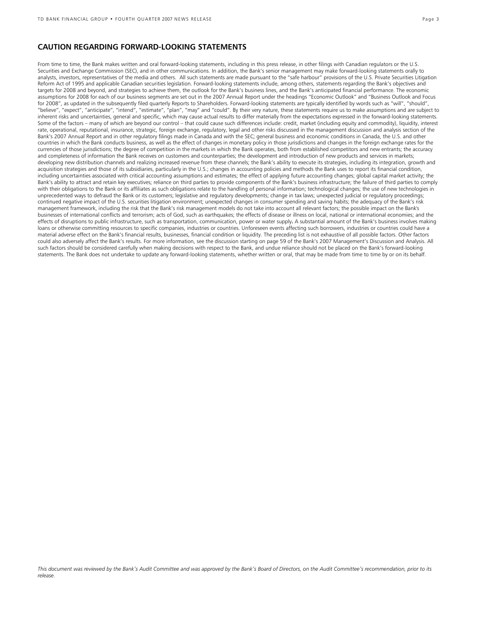## **CAUTION REGARDING FORWARD-LOOKING STATEMENTS**

From time to time, the Bank makes written and oral forward-looking statements, including in this press release, in other filings with Canadian regulators or the U.S. Securities and Exchange Commission (SEC), and in other communications. In addition, the Bank's senior management may make forward-looking statements orally to analysts, investors, representatives of the media and others. All such statements are made pursuant to the "safe harbour" provisions of the U.S. Private Securities Litigation Reform Act of 1995 and applicable Canadian securities legislation. Forward-looking statements include, among others, statements regarding the Bank's objectives and targets for 2008 and beyond, and strategies to achieve them, the outlook for the Bank's business lines, and the Bank's anticipated financial performance. The economic assumptions for 2008 for each of our business segments are set out in the 2007 Annual Report under the headings "Economic Outlook" and "Business Outlook and Focus for 2008", as updated in the subsequently filed quarterly Reports to Shareholders. Forward-looking statements are typically identified by words such as "will", "should", "believe", "expect", "anticipate", "intend", "estimate", "plan", "may" and "could". By their very nature, these statements require us to make assumptions and are subject to inherent risks and uncertainties, general and specific, which may cause actual results to differ materially from the expectations expressed in the forward-looking statements. Some of the factors – many of which are beyond our control – that could cause such differences include: credit, market (including equity and commodity), liquidity, interest rate, operational, reputational, insurance, strategic, foreign exchange, regulatory, legal and other risks discussed in the management discussion and analysis section of the Bank's 2007 Annual Report and in other regulatory filings made in Canada and with the SEC; general business and economic conditions in Canada, the U.S. and other countries in which the Bank conducts business, as well as the effect of changes in monetary policy in those jurisdictions and changes in the foreign exchange rates for the currencies of those jurisdictions; the degree of competition in the markets in which the Bank operates, both from established competitors and new entrants; the accuracy and completeness of information the Bank receives on customers and counterparties; the development and introduction of new products and services in markets; developing new distribution channels and realizing increased revenue from these channels; the Bank's ability to execute its strategies, including its integration, growth and acquisition strategies and those of its subsidiaries, particularly in the U.S.; changes in accounting policies and methods the Bank uses to report its financial condition, including uncertainties associated with critical accounting assumptions and estimates; the effect of applying future accounting changes; global capital market activity; the Bank's ability to attract and retain key executives; reliance on third parties to provide components of the Bank's business infrastructure; the failure of third parties to comply with their obligations to the Bank or its affiliates as such obligations relate to the handling of personal information; technological changes; the use of new technologies in unprecedented ways to defraud the Bank or its customers; legislative and regulatory developments; change in tax laws; unexpected judicial or regulatory proceedings; continued negative impact of the U.S. securities litigation environment; unexpected changes in consumer spending and saving habits; the adequacy of the Bank's risk management framework, including the risk that the Bank's risk management models do not take into account all relevant factors; the possible impact on the Bank's businesses of international conflicts and terrorism; acts of God, such as earthquakes; the effects of disease or illness on local, national or international economies; and the effects of disruptions to public infrastructure, such as transportation, communication, power or water supply**.** A substantial amount of the Bank's business involves making loans or otherwise committing resources to specific companies, industries or countries. Unforeseen events affecting such borrowers, industries or countries could have a material adverse effect on the Bank's financial results, businesses, financial condition or liquidity. The preceding list is not exhaustive of all possible factors. Other factors could also adversely affect the Bank's results. For more information, see the discussion starting on page 59 of the Bank's 2007 Management's Discussion and Analysis. All such factors should be considered carefully when making decisions with respect to the Bank, and undue reliance should not be placed on the Bank's forward-looking statements. The Bank does not undertake to update any forward-looking statements, whether written or oral, that may be made from time to time by or on its behalf.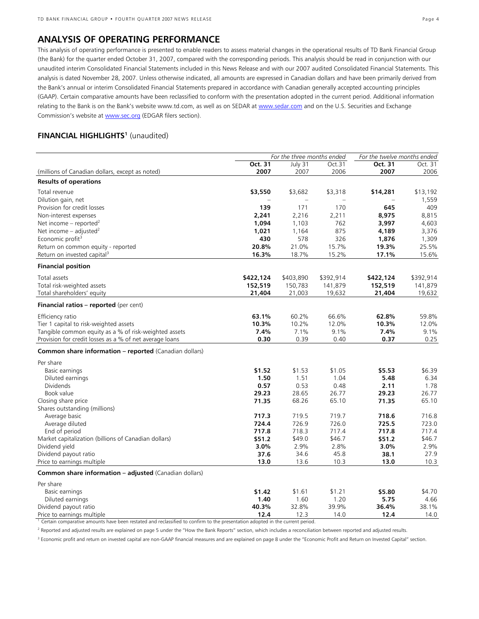## **ANALYSIS OF OPERATING PERFORMANCE**

This analysis of operating performance is presented to enable readers to assess material changes in the operational results of TD Bank Financial Group (the Bank) for the quarter ended October 31, 2007, compared with the corresponding periods. This analysis should be read in conjunction with our unaudited interim Consolidated Financial Statements included in this News Release and with our 2007 audited Consolidated Financial Statements. This analysis is dated November 28, 2007. Unless otherwise indicated, all amounts are expressed in Canadian dollars and have been primarily derived from the Bank's annual or interim Consolidated Financial Statements prepared in accordance with Canadian generally accepted accounting principles (GAAP). Certain comparative amounts have been reclassified to conform with the presentation adopted in the current period. Additional information relating to the Bank is on the Bank's website www.td.com, as well as on SEDAR at [www.sedar.com](http://www.sedar.com/) and on the U.S. Securities and Exchange Commission's website at [www.sec.org](http://www.sec.org/) (EDGAR filers section).

## **FINANCIAL HIGHLIGHTS<sup>1</sup>** (unaudited)

| For the three months ended                              |                          |           | For the twelve months ended |           |           |
|---------------------------------------------------------|--------------------------|-----------|-----------------------------|-----------|-----------|
|                                                         | Oct. 31                  | July 31   | Oct.31                      | Oct. 31   | Oct. 31   |
| (millions of Canadian dollars, except as noted)         | 2007                     | 2007      | 2006                        | 2007      | 2006      |
| <b>Results of operations</b>                            |                          |           |                             |           |           |
| Total revenue                                           | \$3,550                  | \$3,682   | \$3,318                     | \$14,281  | \$13,192  |
| Dilution gain, net                                      | $\overline{\phantom{0}}$ | $\equiv$  | $\equiv$                    |           | 1,559     |
| Provision for credit losses                             | 139                      | 171       | 170                         | 645       | 409       |
| Non-interest expenses                                   | 2,241                    | 2,216     | 2,211                       | 8,975     | 8,815     |
| Net income - reported <sup>2</sup>                      | 1,094                    | 1,103     | 762                         | 3,997     | 4,603     |
| Net income $-$ adjusted <sup>2</sup>                    | 1,021                    | 1,164     | 875                         | 4,189     | 3,376     |
| Economic profit <sup>3</sup>                            | 430                      | 578       | 326                         | 1,876     | 1,309     |
| Return on common equity - reported                      | 20.8%                    | 21.0%     | 15.7%                       | 19.3%     | 25.5%     |
| Return on invested capital <sup>3</sup>                 | 16.3%                    | 18.7%     | 15.2%                       | 17.1%     | 15.6%     |
| <b>Financial position</b>                               |                          |           |                             |           |           |
| Total assets                                            | \$422,124                | \$403,890 | \$392,914                   | \$422,124 | \$392,914 |
| Total risk-weighted assets                              | 152,519                  | 150,783   | 141,879                     | 152,519   | 141,879   |
| Total shareholders' equity                              | 21,404                   | 21,003    | 19,632                      | 21,404    | 19,632    |
| Financial ratios - reported (per cent)                  |                          |           |                             |           |           |
| Efficiency ratio                                        | 63.1%                    | 60.2%     | 66.6%                       | 62.8%     | 59.8%     |
| Tier 1 capital to risk-weighted assets                  | 10.3%                    | 10.2%     | 12.0%                       | 10.3%     | 12.0%     |
| Tangible common equity as a % of risk-weighted assets   | 7.4%                     | 7.1%      | 9.1%                        | 7.4%      | 9.1%      |
| Provision for credit losses as a % of net average loans | 0.30                     | 0.39      | 0.40                        | 0.37      | 0.25      |
| Common share information - reported (Canadian dollars)  |                          |           |                             |           |           |
| Per share                                               |                          |           |                             |           |           |
| Basic earnings                                          | \$1.52                   | \$1.53    | \$1.05                      | \$5.53    | \$6.39    |
| Diluted earnings                                        | 1.50                     | 1.51      | 1.04                        | 5.48      | 6.34      |
| <b>Dividends</b>                                        | 0.57                     | 0.53      | 0.48                        | 2.11      | 1.78      |
| Book value                                              | 29.23                    | 28.65     | 26.77                       | 29.23     | 26.77     |
| Closing share price                                     | 71.35                    | 68.26     | 65.10                       | 71.35     | 65.10     |
| Shares outstanding (millions)                           |                          |           |                             |           |           |
| Average basic                                           | 717.3                    | 719.5     | 719.7                       | 718.6     | 716.8     |
| Average diluted                                         | 724.4                    | 726.9     | 726.0                       | 725.5     | 723.0     |
| End of period                                           | 717.8                    | 718.3     | 717.4                       | 717.8     | 717.4     |
| Market capitalization (billions of Canadian dollars)    | \$51.2                   | \$49.0    | \$46.7                      | \$51.2    | \$46.7    |
| Dividend yield                                          | 3.0%                     | 2.9%      | 2.8%                        | 3.0%      | 2.9%      |
| Dividend payout ratio                                   | 37.6                     | 34.6      | 45.8                        | 38.1      | 27.9      |
| Price to earnings multiple                              | 13.0                     | 13.6      | 10.3                        | 13.0      | 10.3      |
| Common share information - adjusted (Canadian dollars)  |                          |           |                             |           |           |
| Per share                                               |                          |           |                             |           |           |
| Basic earnings                                          | \$1.42                   | \$1.61    | \$1.21                      | \$5.80    | \$4.70    |
| Diluted earnings                                        | 1.40                     | 1.60      | 1.20                        | 5.75      | 4.66      |
| Dividend payout ratio                                   | 40.3%                    | 32.8%     | 39.9%                       | 36.4%     | 38.1%     |
| Price to earnings multiple                              | 12.4                     | 12.3      | 14.0                        | 12.4      | 14.0      |

1 Certain comparative amounts have been restated and reclassified to confirm to the presentation adopted in the current period.

<sup>2</sup> Reported and adjusted results are explained on page 5 under the "How the Bank Reports" section, which includes a reconciliation between reported and adjusted results.

<sup>3</sup> Economic profit and return on invested capital are non-GAAP financial measures and are explained on page 8 under the "Economic Profit and Return on Invested Capital" section.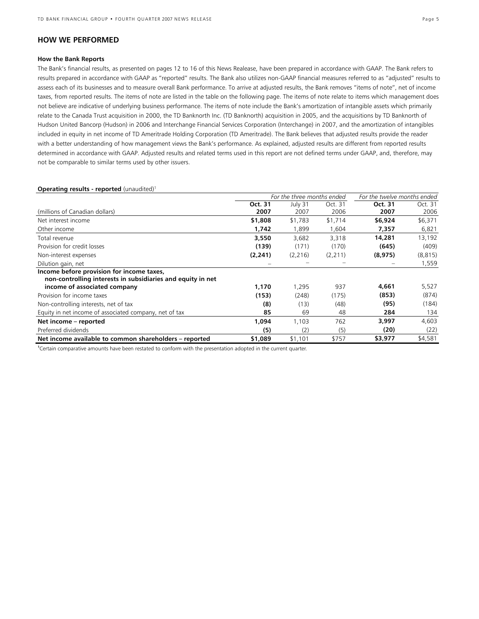## **HOW WE PERFORMED**

#### **How the Bank Reports**

The Bank's financial results, as presented on pages 12 to 16 of this News Realease, have been prepared in accordance with GAAP. The Bank refers to results prepared in accordance with GAAP as "reported" results. The Bank also utilizes non-GAAP financial measures referred to as "adjusted" results to assess each of its businesses and to measure overall Bank performance. To arrive at adjusted results, the Bank removes "items of note", net of income taxes, from reported results. The items of note are listed in the table on the following page. The items of note relate to items which management does not believe are indicative of underlying business performance. The items of note include the Bank's amortization of intangible assets which primarily relate to the Canada Trust acquisition in 2000, the TD Banknorth Inc. (TD Banknorth) acquisition in 2005, and the acquisitions by TD Banknorth of Hudson United Bancorp (Hudson) in 2006 and Interchange Financial Services Corporation (Interchange) in 2007, and the amortization of intangibles included in equity in net income of TD Ameritrade Holding Corporation (TD Ameritrade). The Bank believes that adjusted results provide the reader with a better understanding of how management views the Bank's performance. As explained, adjusted results are different from reported results determined in accordance with GAAP. Adjusted results and related terms used in this report are not defined terms under GAAP, and, therefore, may not be comparable to similar terms used by other issuers.

#### **Operating results - reported** (unaudited)<sup>1</sup>

|                                                                                                          | For the three months ended |          |          | For the twelve months ended |          |
|----------------------------------------------------------------------------------------------------------|----------------------------|----------|----------|-----------------------------|----------|
|                                                                                                          | Oct. 31                    | July 31  | Oct. 31  | Oct. 31                     | Oct. 31  |
| (millions of Canadian dollars)                                                                           | 2007                       | 2007     | 2006     | 2007                        | 2006     |
| Net interest income                                                                                      | \$1,808                    | \$1,783  | \$1,714  | \$6,924                     | \$6,371  |
| Other income                                                                                             | 1,742                      | 1.899    | 1.604    | 7,357                       | 6,821    |
| Total revenue                                                                                            | 3,550                      | 3,682    | 3,318    | 14,281                      | 13,192   |
| Provision for credit losses                                                                              | (139)                      | (171)    | (170)    | (645)                       | (409)    |
| Non-interest expenses                                                                                    | (2, 241)                   | (2, 216) | (2, 211) | (8,975)                     | (8, 815) |
| Dilution gain, net                                                                                       |                            |          |          |                             | 1,559    |
| Income before provision for income taxes,<br>non-controlling interests in subsidiaries and equity in net |                            |          |          |                             |          |
| income of associated company                                                                             | 1,170                      | 1,295    | 937      | 4,661                       | 5,527    |
| Provision for income taxes                                                                               | (153)                      | (248)    | (175)    | (853)                       | (874)    |
| Non-controlling interests, net of tax                                                                    | (8)                        | (13)     | (48)     | (95)                        | (184)    |
| Equity in net income of associated company, net of tax                                                   | 85                         | 69       | 48       | 284                         | 134      |
| Net income – reported                                                                                    | 1,094                      | 1,103    | 762      | 3,997                       | 4,603    |
| Preferred dividends                                                                                      | (5)                        | (2)      | (5)      | (20)                        | (22)     |
| Net income available to common shareholders – reported                                                   | \$1,089                    | \$1,101  | \$757    | \$3,977                     | \$4,581  |

**1** Certain comparative amounts have been restated to conform with the presentation adopted in the current quarter.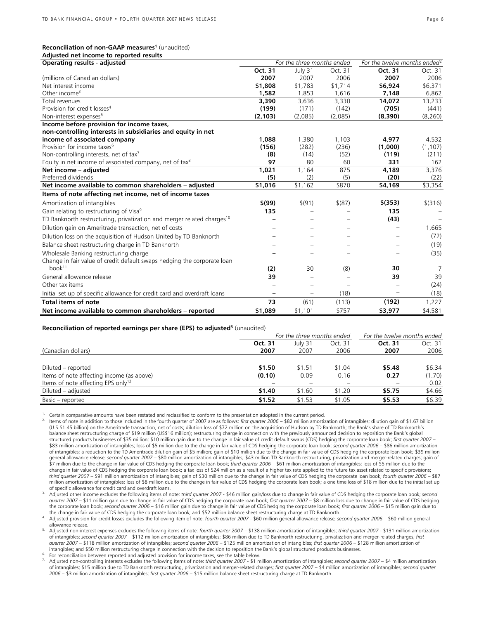## Reconciliation of non-GAAP measures<sup>1</sup> (unaudited)

| Adjusted net income to reported results                                                       |          |                                |            |                                          |           |
|-----------------------------------------------------------------------------------------------|----------|--------------------------------|------------|------------------------------------------|-----------|
| <b>Operating results - adjusted</b>                                                           |          | For the three months ended     |            | For the twelve months ended <sup>2</sup> |           |
|                                                                                               | Oct. 31  | July 31                        | Oct. 31    | Oct. 31                                  | Oct. 31   |
| (millions of Canadian dollars)                                                                | 2007     | 2007                           | 2006       | 2007                                     | 2006      |
| Net interest income                                                                           | \$1,808  | \$1,783                        | \$1,714    | \$6,924                                  | \$6,371   |
| Other income $3$                                                                              | 1,582    | 1.853                          | 1.616      | 7,148                                    | 6,862     |
| Total revenues                                                                                | 3,390    | 3,636                          | 3,330      | 14,072                                   | 13,233    |
| Provision for credit losses <sup>4</sup>                                                      | (199)    | (171)                          | (142)      | (705)                                    | (441)     |
| Non-interest expenses <sup>5</sup>                                                            | (2, 103) | (2,085)                        | (2,085)    | (8,390)                                  | (8, 260)  |
| Income before provision for income taxes,                                                     |          |                                |            |                                          |           |
| non-controlling interests in subsidiaries and equity in net                                   |          |                                |            |                                          |           |
| income of associated company                                                                  | 1,088    | 1,380                          | 1,103      | 4,977                                    | 4,532     |
| Provision for income taxes <sup>6</sup>                                                       | (156)    | (282)                          | (236)      | (1,000)                                  | (1, 107)  |
| Non-controlling interests, net of tax <sup>7</sup>                                            | (8)      | (14)                           | (52)       | (119)                                    | (211)     |
| Equity in net income of associated company, net of tax <sup>8</sup>                           | 97       | 80                             | 60         | 331                                      | 162       |
| Net income - adjusted                                                                         | 1.021    | 1,164                          | 875        | 4,189                                    | 3,376     |
| Preferred dividends                                                                           | (5)      | (2)                            | (5)        | (20)                                     | (22)      |
| Net income available to common shareholders - adjusted                                        | \$1,016  | \$1,162                        | \$870      | \$4,169                                  | \$3,354   |
| Items of note affecting net income, net of income taxes                                       |          |                                |            |                                          |           |
| Amortization of intangibles                                                                   | \$(99)   | \$(91)                         | $$^{(87)}$ | $$$ (353)                                | $$$ (316) |
| Gain relating to restructuring of Visa <sup>9</sup>                                           | 135      |                                |            | 135                                      |           |
| TD Banknorth restructuring, privatization and merger related charges <sup>10</sup>            |          |                                | ÷          | (43)                                     |           |
| Dilution gain on Ameritrade transaction, net of costs                                         |          |                                |            |                                          | 1,665     |
| Dilution loss on the acquisition of Hudson United by TD Banknorth                             |          |                                |            |                                          | (72)      |
| Balance sheet restructuring charge in TD Banknorth                                            |          |                                |            |                                          | (19)      |
| Wholesale Banking restructuring charge                                                        |          |                                |            |                                          | (35)      |
| Change in fair value of credit default swaps hedging the corporate loan<br>book <sup>11</sup> | (2)      | 30                             | (8)        | 30                                       | 7         |
| General allowance release                                                                     | 39       |                                |            | 39                                       | 39        |
| Other tax items                                                                               |          |                                |            |                                          | (24)      |
|                                                                                               |          |                                |            |                                          |           |
| Initial set up of specific allowance for credit card and overdraft loans                      |          | $\qquad \qquad \longleftarrow$ | (18)       |                                          | (18)      |
| Total items of note                                                                           | 73       | (61)                           | (113)      | (192)                                    | 1,227     |
| Net income available to common shareholders - reported                                        | \$1,089  | \$1,101                        | \$757      | \$3,977                                  | \$4,581   |

#### **Reconciliation of reported earnings per share (EPS) to adjusted<sup>5</sup> (unaudited)**

|                                                | For the three months ended |         |         | For the twelve months ended |         |  |
|------------------------------------------------|----------------------------|---------|---------|-----------------------------|---------|--|
|                                                | Oct. 31                    | July 31 | Oct. 31 | Oct. 31                     | Oct. 31 |  |
| (Canadian dollars)                             | 2007                       | 2007    | 2006    | 2007                        | 2006    |  |
|                                                |                            |         |         |                             |         |  |
| Diluted – reported                             | \$1.50                     | \$1.51  | \$1.04  | \$5.48                      | \$6.34  |  |
| Items of note affecting income (as above)      | (0.10)                     | 0.09    | 0.16    | 0.27                        | (1.70)  |  |
| Items of note affecting EPS only <sup>12</sup> |                            |         |         |                             | 0.02    |  |
| Diluted – adjusted                             | \$1.40                     | \$1.60  | \$1.20  | \$5.75                      | \$4.66  |  |
| Basic - reported                               | \$1.52                     | \$1.53  | \$1.05  | \$5.53                      | \$6.39  |  |

<sup>1.</sup> Certain comparative amounts have been restated and reclassified to conform to the presentation adopted in the current period.<br><sup>2.</sup> Items of note in addition to those included in the fourth quarter of 2007 are as foll (U.S.\$1.45 billion) on the Ameritrade transaction, net of costs; dilution loss of \$72 million on the acquisition of Hudson by TD Banknorth; the Bank's share of TD Banknorth's balance sheet restructuring charge of \$19 million (US\$16 million); restructuring charge in connection with the previously announced decision to reposition the Bank's global structured products businesses of \$35 million; \$10 million gain due to the change in fair value of credit default swaps (CDS) hedging the corporate loan book; *first quarter 2007* – \$83 million amortization of intangibles; loss of \$5 million due to the change in fair value of CDS hedging the corporate loan book; *second quarter 2006* – \$86 million amortization of intangibles; a reduction to the TD Ameritrade dilution gain of \$5 million; gain of \$10 million due to the change in fair value of CDS hedging the corporate loan book; \$39 million general allowance release; *second quarter 2007* – \$80 million amortization of intangibles; \$43 million TD Banknorth restructuring, privatization and merger-related charges; gain of \$7 million due to the change in fair value of CDS hedging the corporate loan book; *third quarter 2006* – \$61 million amortization of intangibles; loss of \$5 million due to the change in fair value of CDS hedging the corporate loan book; a tax loss of \$24 million as a result of a higher tax rate applied to the future tax asset related to specific provisions; *third quarter 2007* – \$91 million amortization of intangibles; gain of \$30 million due to the change in fair value of CDS hedging the corporate loan book; *fourth quarter 2006* – \$87 million amortization of intangibles; loss of \$8 million due to the change in fair value of CDS hedging the corporate loan book; a one time loss of \$18 million due to the initial set up<br>of specific allowance for credit card

Adjusted other income excludes the following items of note: third quarter 2007 - \$46 million gain/loss due to change in fair value of CDS hedging the corporate loan book; second quarter 2007 – \$11 million gain due to change in fair value of CDS hedging the corporate loan book; *first quarter 2007 – \$8 million loss due to change in fair value of CDS hedging*<br>the corporate loan book; *second quarter* the change in fair value of CDS hedging the corporate loan book; and \$52 million balance sheet restructuring charge at TD Banknorth.<br>Adjusted provision for credit losses excludes the following item of note: *fourth quarter* 

allowance release.<br>Adjusted non-interest expenses excludes the following items of note: *fourth quarter 2007* – \$138 million amortization of intangibles; *third quarter 2007* - \$131 million amortization of intangibles; *second quarter 2007 –* \$112 million amortization of intangibles; \$86 million due to TD Banknorth restructuring, privatization and merger-related charges; *first quarter 2007* – \$118 million amortization of intangibles; *second quarter 2006* – \$125 million amortization of intangibles; *first quarter 2006* – \$128 million amortization of

For reconciliation between reported and adjusted provision for income taxes, see the table below.<br>Adjusted non-controlling interests excludes the following items of note: third quarter 2007 - \$1 million amortization of int of intangibles; \$15 million due to TD Banknorth restructuring, privatization and merger-related charges; *first quarter 2007* – \$4 million amortization of intangibles; *second quarter 2006* – \$3 million amortization of intangibles; *first quarter 2006* – \$15 million balance sheet restructuring charge at TD Banknorth.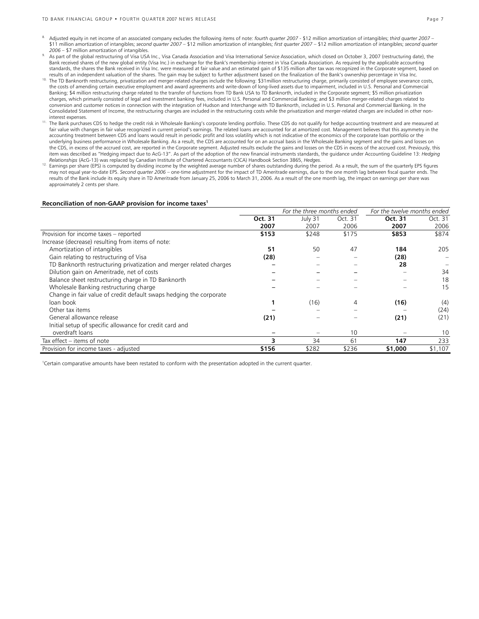- 8. Adjusted equity in net income of an associated company excludes the following items of note: *fourth quarter 2007* \$12 million amortization of intangibles; *third quarter 2007* \$11 million amortization of intangibles; *second quarter 2007 –* \$12 million amortization of intangibles; *first quarter 2007* – \$12 million amortization of intangibles; *second quarter*
- 2006 \$7 million amortization of intangibles.<br>As part of the global restructuring of Visa USA Inc., Visa Canada Association and Visa International Service Association, which closed on October 3, 2007 (restructuring date), Bank received shares of the new global entity (Visa Inc.) in exchange for the Bank's membership interest in Visa Canada Association. As required by the applicable accounting<br>standards, the shares the Bank received in Visa results of an independent valuation of the shares. The gain may be subject to further adjustment based on the finalization of the Bank's ownership percentage in Visa Inc.<br><sup>10</sup> The TD Banknorth restructuring, privatization
- the costs of amending certain executive employment and award agreements and write-down of long-lived assets due to impairment, included in U.S. Personal and Commercial Banking; \$4 million restructuring charge related to the transfer of functions from TD Bank USA to TD Banknorth, included in the Corporate segment; \$5 million privatization charges, which primarily consisted of legal and investment banking fees, included in U.S. Personal and Commercial Banking; and \$3 million merger-related charges related to conversion and customer notices in connection with the integration of Hudson and Interchange with TD Banknorth, included in U.S. Personal and Commercial Banking. In the Consolidated Statement of Income, the restructuring charges are included in the restructuring costs while the privatization and merger-related charges are included in other noninterest expenses.
- 11. The Bank purchases CDS to hedge the credit risk in Wholesale Banking's corporate lending portfolio. These CDS do not qualify for hedge accounting treatment and are measured at fair value with changes in fair value recognized in current period's earnings. The related loans are accounted for at amortized cost. Management believes that this asymmetry in the accounting treatment between CDS and loans would result in periodic profit and loss volatility which is not indicative of the economics of the corporate loan portfolio or the underlying business performance in Wholesale Banking. As a result, the CDS are accounted for on an accrual basis in the Wholesale Banking segment and the gains and losses on the CDS, in excess of the accrued cost, are reported in the Corporate segment. Adjusted results exclude the gains and losses on the CDS in excess of the accrued cost. Previously, this item was described as "Hedging impact due to AcG-13". As part of the adoption of the new financial instruments standards, the guidance under Accounting Guideline 13: *Hedging Relationships* (AcG-13) was replaced by Canadian Institute of Chartered Accountants (CICA) Handbook Section 3865, *Hedges*.
- <sup>12.</sup> Earnings per share (EPS) is computed by dividing income by the weighted average number of shares outstanding during the period. As a result, the sum of the quarterly EPS figures may not equal year-to-date EPS. *Second quarter 2006* – one-time adjustment for the impact of TD Ameritrade earnings, due to the one month lag between fiscal quarter ends. The results of the Bank include its equity share in TD Ameritrade from January 25, 2006 to March 31, 2006. As a result of the one month lag, the impact on earnings per share was approximately 2 cents per share.

#### **Reconciliation of non-GAAP provision for income taxes1**

|                                                                     |         | For the three months ended |         | For the twelve months ended |         |
|---------------------------------------------------------------------|---------|----------------------------|---------|-----------------------------|---------|
|                                                                     | Oct. 31 | July 31                    | Oct. 31 | Oct. 31                     | Oct. 31 |
|                                                                     | 2007    | 2007                       | 2006    | 2007                        | 2006    |
| Provision for income taxes - reported                               | \$153   | \$248                      | \$175   | \$853                       | \$874   |
| Increase (decrease) resulting from items of note:                   |         |                            |         |                             |         |
| Amortization of intangibles                                         | 51      | 50                         | 47      | 184                         | 205     |
| Gain relating to restructuring of Visa                              | (28)    |                            |         | (28)                        |         |
| TD Banknorth restructuring privatization and merger related charges |         |                            |         | 28                          |         |
| Dilution gain on Ameritrade, net of costs                           |         |                            |         |                             | 34      |
| Balance sheet restructuring charge in TD Banknorth                  |         |                            |         |                             | 18      |
| Wholesale Banking restructuring charge                              |         |                            |         |                             | 15      |
| Change in fair value of credit default swaps hedging the corporate  |         |                            |         |                             |         |
| loan book                                                           |         | (16)                       | 4       | (16)                        | (4)     |
| Other tax items                                                     |         |                            |         |                             | (24)    |
| General allowance release                                           | (21)    |                            |         | (21)                        | (21)    |
| Initial setup of specific allowance for credit card and             |         |                            |         |                             |         |
| overdraft loans                                                     |         |                            | 10      |                             | 10      |
| Tax effect – items of note                                          | 3       | 34                         | 61      | 147                         | 233     |
| Provision for income taxes - adjusted                               | \$156   | \$282                      | \$236   | \$1,000                     | \$1,107 |

1 Certain comparative amounts have been restated to conform with the presentation adopted in the current quarter.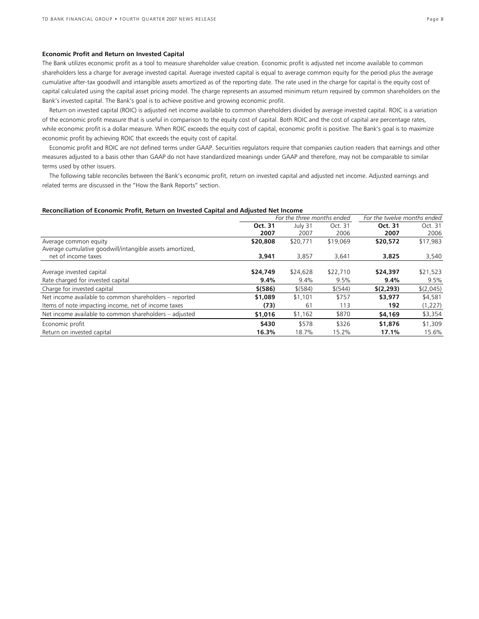#### **Economic Profit and Return on Invested Capital**

The Bank utilizes economic profit as a tool to measure shareholder value creation. Economic profit is adjusted net income available to common shareholders less a charge for average invested capital. Average invested capital is equal to average common equity for the period plus the average cumulative after-tax goodwill and intangible assets amortized as of the reporting date. The rate used in the charge for capital is the equity cost of capital calculated using the capital asset pricing model. The charge represents an assumed minimum return required by common shareholders on the Bank's invested capital. The Bank's goal is to achieve positive and growing economic profit.

Return on invested capital (ROIC) is adjusted net income available to common shareholders divided by average invested capital. ROIC is a variation of the economic profit measure that is useful in comparison to the equity cost of capital. Both ROIC and the cost of capital are percentage rates, while economic profit is a dollar measure. When ROIC exceeds the equity cost of capital, economic profit is positive. The Bank's goal is to maximize economic profit by achieving ROIC that exceeds the equity cost of capital.

Economic profit and ROIC are not defined terms under GAAP. Securities regulators require that companies caution readers that earnings and other measures adjusted to a basis other than GAAP do not have standardized meanings under GAAP and therefore, may not be comparable to similar terms used by other issuers.

The following table reconciles between the Bank's economic profit, return on invested capital and adjusted net income. Adjusted earnings and related terms are discussed in the "How the Bank Reports" section.

#### **Reconciliation of Economic Profit, Return on Invested Capital and Adjusted Net Income**

|                                                          | For the three months ended |           |          | For the twelve months ended |           |
|----------------------------------------------------------|----------------------------|-----------|----------|-----------------------------|-----------|
|                                                          | Oct. 31                    | July 31   | Oct. 31  | Oct. 31                     | Oct. 31   |
|                                                          | 2007                       | 2007      | 2006     | 2007                        | 2006      |
| Average common equity                                    | \$20,808                   | \$20,771  | \$19,069 | \$20,572                    | \$17,983  |
| Average cumulative goodwill/intangible assets amortized, |                            |           |          |                             |           |
| net of income taxes                                      | 3,941                      | 3,857     | 3,641    | 3,825                       | 3,540     |
|                                                          |                            |           |          |                             |           |
| Average invested capital                                 | \$24,749                   | \$24,628  | \$22,710 | \$24,397                    | \$21,523  |
| Rate charged for invested capital                        | 9.4%                       | 9.4%      | 9.5%     | 9.4%                        | 9.5%      |
| Charge for invested capital                              | \$ (586)                   | $$$ (584) | \$(544)  | \$(2,293)                   | \$(2,045) |
| Net income available to common shareholders - reported   | \$1,089                    | \$1,101   | \$757    | \$3,977                     | \$4,581   |
| Items of note impacting income, net of income taxes      | (73)                       | 61        | 113      | 192                         | (1,227)   |
| Net income available to common shareholders – adjusted   | \$1,016                    | \$1,162   | \$870    | \$4,169                     | \$3,354   |
| Economic profit                                          | \$430                      | \$578     | \$326    | \$1,876                     | \$1,309   |
| Return on invested capital                               | 16.3%                      | 18.7%     | 15.2%    | 17.1%                       | 15.6%     |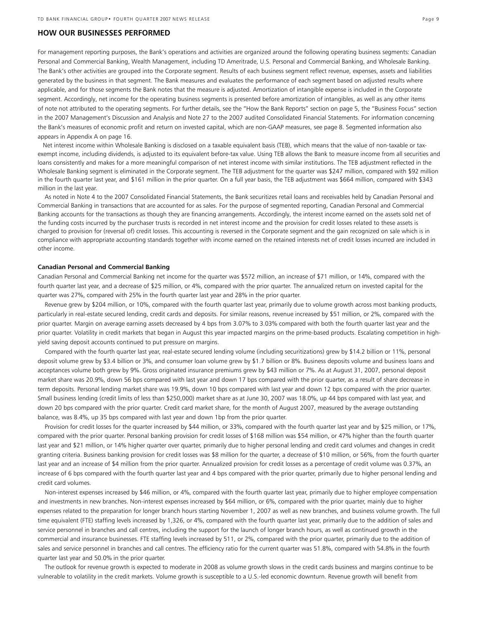#### **HOW OUR BUSINESSES PERFORMED**

For management reporting purposes, the Bank's operations and activities are organized around the following operating business segments: Canadian Personal and Commercial Banking, Wealth Management, including TD Ameritrade, U.S. Personal and Commercial Banking, and Wholesale Banking. The Bank's other activities are grouped into the Corporate segment. Results of each business segment reflect revenue, expenses, assets and liabilities generated by the business in that segment. The Bank measures and evaluates the performance of each segment based on adjusted results where applicable, and for those segments the Bank notes that the measure is adjusted. Amortization of intangible expense is included in the Corporate segment. Accordingly, net income for the operating business segments is presented before amortization of intangibles, as well as any other items of note not attributed to the operating segments. For further details, see the "How the Bank Reports" section on page 5, the "Business Focus" section in the 2007 Management's Discussion and Analysis and Note 27 to the 2007 audited Consolidated Financial Statements. For information concerning the Bank's measures of economic profit and return on invested capital, which are non-GAAP measures, see page 8. Segmented information also appears in Appendix A on page 16.

 Net interest income within Wholesale Banking is disclosed on a taxable equivalent basis (TEB), which means that the value of non-taxable or taxexempt income, including dividends, is adjusted to its equivalent before-tax value. Using TEB allows the Bank to measure income from all securities and loans consistently and makes for a more meaningful comparison of net interest income with similar institutions. The TEB adjustment reflected in the Wholesale Banking segment is eliminated in the Corporate segment. The TEB adjustment for the quarter was \$247 million, compared with \$92 million in the fourth quarter last year, and \$161 million in the prior quarter. On a full year basis, the TEB adjustment was \$664 million, compared with \$343 million in the last year.

 As noted in Note 4 to the 2007 Consolidated Financial Statements, the Bank securitizes retail loans and receivables held by Canadian Personal and Commercial Banking in transactions that are accounted for as sales. For the purpose of segmented reporting, Canadian Personal and Commercial Banking accounts for the transactions as though they are financing arrangements. Accordingly, the interest income earned on the assets sold net of the funding costs incurred by the purchaser trusts is recorded in net interest income and the provision for credit losses related to these assets is charged to provision for (reversal of) credit losses. This accounting is reversed in the Corporate segment and the gain recognized on sale which is in compliance with appropriate accounting standards together with income earned on the retained interests net of credit losses incurred are included in other income.

#### **Canadian Personal and Commercial Banking**

Canadian Personal and Commercial Banking net income for the quarter was \$572 million, an increase of \$71 million, or 14%, compared with the fourth quarter last year, and a decrease of \$25 million, or 4%, compared with the prior quarter. The annualized return on invested capital for the quarter was 27%, compared with 25% in the fourth quarter last year and 28% in the prior quarter.

 Revenue grew by \$204 million, or 10%, compared with the fourth quarter last year, primarily due to volume growth across most banking products, particularly in real-estate secured lending, credit cards and deposits. For similar reasons, revenue increased by \$51 million, or 2%, compared with the prior quarter. Margin on average earning assets decreased by 4 bps from 3.07% to 3.03% compared with both the fourth quarter last year and the prior quarter. Volatility in credit markets that began in August this year impacted margins on the prime-based products. Escalating competition in highyield saving deposit accounts continued to put pressure on margins.

 Compared with the fourth quarter last year, real-estate secured lending volume (including securitizations) grew by \$14.2 billion or 11%, personal deposit volume grew by \$3.4 billion or 3%, and consumer loan volume grew by \$1.7 billion or 8%. Business deposits volume and business loans and acceptances volume both grew by 9%. Gross originated insurance premiums grew by \$43 million or 7%. As at August 31, 2007, personal deposit market share was 20.9%, down 56 bps compared with last year and down 17 bps compared with the prior quarter, as a result of share decrease in term deposits. Personal lending market share was 19.9%, down 10 bps compared with last year and down 12 bps compared with the prior quarter. Small business lending (credit limits of less than \$250,000) market share as at June 30, 2007 was 18.0%, up 44 bps compared with last year, and down 20 bps compared with the prior quarter. Credit card market share, for the month of August 2007, measured by the average outstanding balance, was 8.4%, up 35 bps compared with last year and down 1bp from the prior quarter.

 Provision for credit losses for the quarter increased by \$44 million, or 33%, compared with the fourth quarter last year and by \$25 million, or 17%, compared with the prior quarter. Personal banking provision for credit losses of \$168 million was \$54 million, or 47% higher than the fourth quarter last year and \$21 million, or 14% higher quarter over quarter, primarily due to higher personal lending and credit card volumes and changes in credit granting criteria. Business banking provision for credit losses was \$8 million for the quarter, a decrease of \$10 million, or 56%, from the fourth quarter last year and an increase of \$4 million from the prior quarter. Annualized provision for credit losses as a percentage of credit volume was 0.37%, an increase of 6 bps compared with the fourth quarter last year and 4 bps compared with the prior quarter, primarily due to higher personal lending and credit card volumes.

 Non-interest expenses increased by \$46 million, or 4%, compared with the fourth quarter last year, primarily due to higher employee compensation and investments in new branches. Non-interest expenses increased by \$64 million, or 6%, compared with the prior quarter, mainly due to higher expenses related to the preparation for longer branch hours starting November 1, 2007 as well as new branches, and business volume growth. The full time equivalent (FTE) staffing levels increased by 1,326, or 4%, compared with the fourth quarter last year, primarily due to the addition of sales and service personnel in branches and call centres, including the support for the launch of longer branch hours, as well as continued growth in the commercial and insurance businesses. FTE staffing levels increased by 511, or 2%, compared with the prior quarter, primarily due to the addition of sales and service personnel in branches and call centres. The efficiency ratio for the current quarter was 51.8%, compared with 54.8% in the fourth quarter last year and 50.0% in the prior quarter.

 The outlook for revenue growth is expected to moderate in 2008 as volume growth slows in the credit cards business and margins continue to be vulnerable to volatility in the credit markets. Volume growth is susceptible to a U.S.-led economic downturn. Revenue growth will benefit from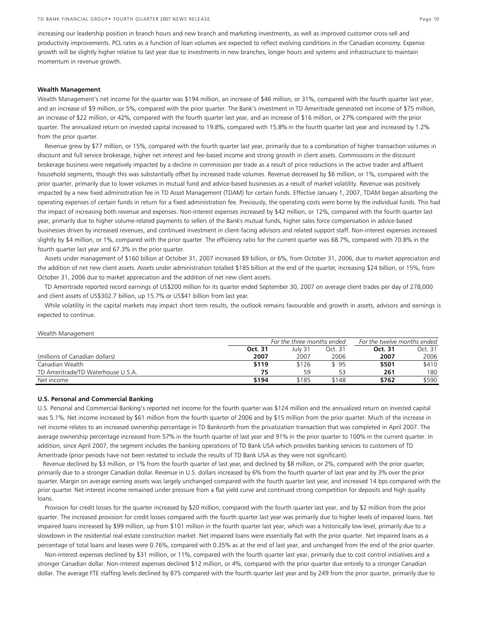increasing our leadership position in branch hours and new branch and marketing investments, as well as improved customer cross-sell and productivity improvements. PCL rates as a function of loan volumes are expected to reflect evolving conditions in the Canadian economy. Expense growth will be slightly higher relative to last year due to investments in new branches, longer hours and systems and infrastructure to maintain momentum in revenue growth.

#### **Wealth Management**

Wealth Management's net income for the quarter was \$194 million, an increase of \$46 million, or 31%, compared with the fourth quarter last year, and an increase of \$9 million, or 5%, compared with the prior quarter. The Bank's investment in TD Ameritrade generated net income of \$75 million, an increase of \$22 million, or 42%, compared with the fourth quarter last year, and an increase of \$16 million, or 27% compared with the prior quarter. The annualized return on invested capital increased to 19.8%, compared with 15.8% in the fourth quarter last year and increased by 1.2% from the prior quarter.

Revenue grew by \$77 million, or 15%, compared with the fourth quarter last year, primarily due to a combination of higher transaction volumes in discount and full service brokerage, higher net interest and fee-based income and strong growth in client assets. Commissions in the discount brokerage business were negatively impacted by a decline in commission per trade as a result of price reductions in the active trader and affluent household segments, though this was substantially offset by increased trade volumes. Revenue decreased by \$6 million, or 1%, compared with the prior quarter, primarily due to lower volumes in mutual fund and advice-based businesses as a result of market volatility. Revenue was positively impacted by a new fixed administration fee in TD Asset Management (TDAM) for certain funds. Effective January 1, 2007, TDAM began absorbing the operating expenses of certain funds in return for a fixed administration fee. Previously, the operating costs were borne by the individual funds. This had the impact of increasing both revenue and expenses. Non-interest expenses increased by \$42 million, or 12%, compared with the fourth quarter last year, primarily due to higher volume-related payments to sellers of the Bank's mutual funds, higher sales force compensation in advice-based businesses driven by increased revenues, and continued investment in client-facing advisors and related support staff. Non-interest expenses increased slightly by \$4 million, or 1%, compared with the prior quarter. The efficiency ratio for the current quarter was 68.7%, compared with 70.8% in the fourth quarter last year and 67.3% in the prior quarter.

Assets under management of \$160 billion at October 31, 2007 increased \$9 billion, or 6%, from October 31, 2006, due to market appreciation and the addition of net new client assets. Assets under administration totalled \$185 billion at the end of the quarter, increasing \$24 billion, or 15%, from October 31, 2006 due to market appreciation and the addition of net new client assets.

TD Ameritrade reported record earnings of US\$200 million for its quarter ended September 30, 2007 on average client trades per day of 278,000 and client assets of US\$302.7 billion, up 15.7% or US\$41 billion from last year.

While volatility in the capital markets may impact short term results, the outlook remains favourable and growth in assets, advisors and earnings is expected to continue.

|                                    | For the three months ended |         |         | For the twelve months ended |         |  |
|------------------------------------|----------------------------|---------|---------|-----------------------------|---------|--|
|                                    | Oct. 31                    | July 31 | Oct. 31 | Oct. 31                     | Oct. 31 |  |
| (millions of Canadian dollars)     | 2007                       | 2007    | 2006    | 2007                        | 2006    |  |
| Canadian Wealth                    | \$119                      | \$126   | \$95    | \$501                       | \$410   |  |
| TD Ameritrade/TD Waterhouse U.S.A. | 75                         | 59      | 53      | 261                         | 180     |  |
| Net income                         | \$194                      | \$185   | \$148   | \$762                       | \$590   |  |

#### **U.S. Personal and Commercial Banking**

Wealth Management

U.S. Personal and Commercial Banking's reported net income for the fourth quarter was \$124 million and the annualized return on invested capital was 5.1%. Net income increased by \$61 million from the fourth quarter of 2006 and by \$15 million from the prior quarter. Much of the increase in net income relates to an increased ownership percentage in TD Banknorth from the privatization transaction that was completed in April 2007. The average ownership percentage increased from 57% in the fourth quarter of last year and 91% in the prior quarter to 100% in the current quarter. In addition, since April 2007, the segment includes the banking operations of TD Bank USA which provides banking services to customers of TD Ameritrade (prior periods have not been restated to include the results of TD Bank USA as they were not significant).

 Revenue declined by \$3 million, or 1% from the fourth quarter of last year, and declined by \$8 million, or 2%, compared with the prior quarter, primarily due to a stronger Canadian dollar. Revenue in U.S. dollars increased by 6% from the fourth quarter of last year and by 3% over the prior quarter. Margin on average earning assets was largely unchanged compared with the fourth quarter last year, and increased 14 bps compared with the prior quarter. Net interest income remained under pressure from a flat yield curve and continued strong competition for deposits and high quality loans.

 Provision for credit losses for the quarter increased by \$20 million, compared with the fourth quarter last year, and by \$2 million from the prior quarter. The increased provision for credit losses compared with the fourth quarter last year was primarily due to higher levels of impaired loans. Net impaired loans increased by \$99 million, up from \$101 million in the fourth quarter last year, which was a historically low level, primarily due to a slowdown in the residential real-estate construction market. Net impaired loans were essentially flat with the prior quarter. Net impaired loans as a percentage of total loans and leases were 0.76%, compared with 0.35% as at the end of last year, and unchanged from the end of the prior quarter.

 Non-interest expenses declined by \$31 million, or 11%, compared with the fourth quarter last year, primarily due to cost control initiatives and a stronger Canadian dollar. Non-interest expenses declined \$12 million, or 4%, compared with the prior quarter due entirely to a stronger Canadian dollar. The average FTE staffing levels declined by 875 compared with the fourth quarter last year and by 249 from the prior quarter, primarily due to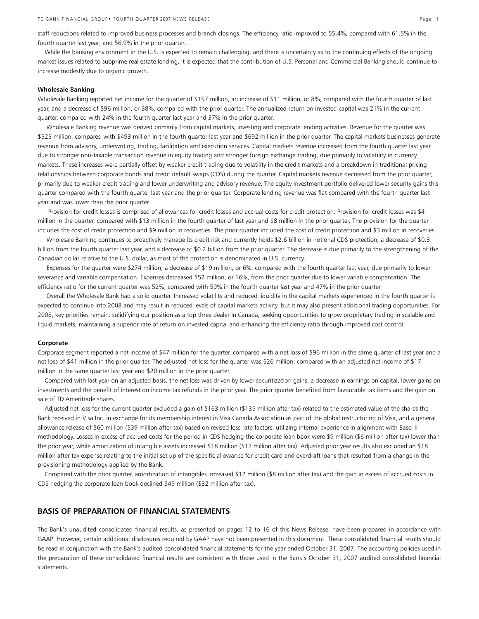staff reductions related to improved business processes and branch closings. The efficiency ratio improved to 55.4%, compared with 61.5% in the fourth quarter last year, and 56.9% in the prior quarter.

 While the banking environment in the U.S. is expected to remain challenging, and there is uncertainty as to the continuing effects of the ongoing market issues related to subprime real estate lending, it is expected that the contribution of U.S. Personal and Commercial Banking should continue to increase modestly due to organic growth.

#### **Wholesale Banking**

Wholesale Banking reported net income for the quarter of \$157 million, an increase of \$11 million, or 8%, compared with the fourth quarter of last year, and a decrease of \$96 million, or 38%, compared with the prior quarter. The annualized return on invested capital was 21% in the current quarter, compared with 24% in the fourth quarter last year and 37% in the prior quarter.

 Wholesale Banking revenue was derived primarily from capital markets, investing and corporate lending activities. Revenue for the quarter was \$525 million, compared with \$493 million in the fourth quarter last year and \$692 million in the prior quarter. The capital markets businesses generate revenue from advisory, underwriting, trading, facilitation and execution services. Capital markets revenue increased from the fourth quarter last year due to stronger non-taxable transaction revenue in equity trading and stronger foreign exchange trading, due primarily to volatility in currency markets. These increases were partially offset by weaker credit trading due to volatility in the credit markets and a breakdown in traditional pricing relationships between corporate bonds and credit default swaps (CDS) during the quarter. Capital markets revenue decreased from the prior quarter, primarily due to weaker credit trading and lower underwriting and advisory revenue. The equity investment portfolio delivered lower security gains this quarter compared with the fourth quarter last year and the prior quarter. Corporate lending revenue was flat compared with the fourth quarter last year and was lower than the prior quarter.

 Provision for credit losses is comprised of allowances for credit losses and accrual costs for credit protection. Provision for credit losses was \$4 million in the quarter, compared with \$13 million in the fourth quarter of last year and \$8 million in the prior quarter. The provision for the quarter includes the cost of credit protection and \$9 million in recoveries. The prior quarter included the cost of credit protection and \$3 million in recoveries.

 Wholesale Banking continues to proactively manage its credit risk and currently holds \$2.6 billion in notional CDS protection, a decrease of \$0.3 billion from the fourth quarter last year, and a decrease of \$0.2 billion from the prior quarter. The decrease is due primarily to the strengthening of the Canadian dollar relative to the U.S. dollar, as most of the protection is denominated in U.S. currency.

 Expenses for the quarter were \$274 million, a decrease of \$19 million, or 6%, compared with the fourth quarter last year, due primarily to lower severance and variable compensation. Expenses decreased \$52 million, or 16%, from the prior quarter due to lower variable compensation. The efficiency ratio for the current quarter was 52%, compared with 59% in the fourth quarter last year and 47% in the prior quarter.

 Overall the Wholesale Bank had a solid quarter. Increased volatility and reduced liquidity in the capital markets experienced in the fourth quarter is expected to continue into 2008 and may result in reduced levels of capital markets activity, but it may also present additional trading opportunities. For 2008, key priorities remain: solidifying our position as a top three dealer in Canada, seeking opportunities to grow proprietary trading in scalable and liquid markets, maintaining a superior rate of return on invested capital and enhancing the efficiency ratio through improved cost control.

#### **Corporate**

Corporate segment reported a net income of \$47 million for the quarter, compared with a net loss of \$96 million in the same quarter of last year and a net loss of \$41 million in the prior quarter. The adjusted net loss for the quarter was \$26 million, compared with an adjusted net income of \$17 million in the same quarter last year and \$20 million in the prior quarter.

 Compared with last year on an adjusted basis, the net loss was driven by lower securitization gains, a decrease in earnings on capital, lower gains on investments and the benefit of interest on income tax refunds in the prior year. The prior quarter benefited from favourable tax items and the gain on sale of TD Ameritrade shares.

 Adjusted net loss for the current quarter excluded a gain of \$163 million (\$135 million after tax) related to the estimated value of the shares the Bank received in Visa Inc. in exchange for its membership interest in Visa Canada Association as part of the global restructuring of Visa, and a general allowance release of \$60 million (\$39 million after tax) based on revised loss rate factors, utilizing internal experience in alignment with Basel II methodology. Losses in excess of accrued costs for the period in CDS hedging the corporate loan book were \$9 million (\$6 million after tax) lower than the prior year, while amortization of intangible assets increased \$18 million (\$12 million after tax). Adjusted prior year results also excluded an \$18 million after tax expense relating to the initial set up of the specific allowance for credit card and overdraft loans that resulted from a change in the provisioning methodology applied by the Bank.

 Compared with the prior quarter, amortization of intangibles increased \$12 million (\$8 million after tax) and the gain in excess of accrued costs in CDS hedging the corporate loan book declined \$49 million (\$32 million after tax).

## **BASIS OF PREPARATION OF FINANCIAL STATEMENTS**

The Bank's unaudited consolidated financial results, as presented on pages 12 to 16 of this News Release, have been prepared in accordance with GAAP. However, certain additional disclosures required by GAAP have not been presented in this document. These consolidated financial results should be read in conjunction with the Bank's audited consolidated financial statements for the year ended October 31, 2007. The accounting policies used in the preparation of these consolidated financial results are consistent with those used in the Bank's October 31, 2007 audited consolidated financial statements.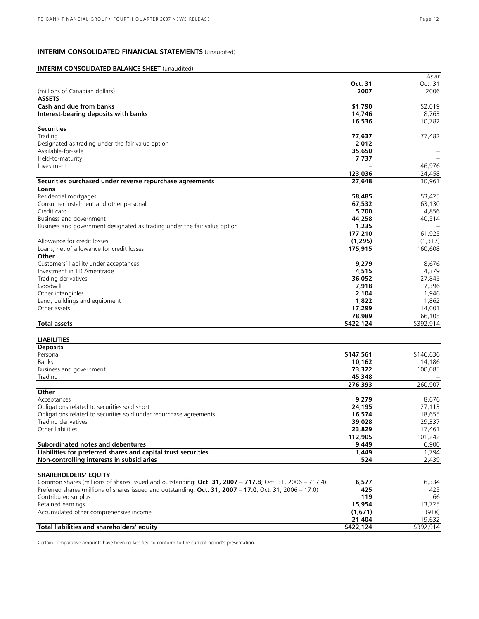## **INTERIM CONSOLIDATED FINANCIAL STATEMENTS** (unaudited)

## **INTERIM CONSOLIDATED BALANCE SHEET** (unaudited)

|                                                                                                          |                  | As at                |
|----------------------------------------------------------------------------------------------------------|------------------|----------------------|
|                                                                                                          | Oct. 31          | Oct. 31              |
| (millions of Canadian dollars)                                                                           | 2007             | 2006                 |
| <b>ASSETS</b>                                                                                            |                  |                      |
| Cash and due from banks                                                                                  | \$1,790          | \$2,019              |
| Interest-bearing deposits with banks                                                                     | 14,746           | 8,763                |
|                                                                                                          | 16,536           | 10,782               |
| <b>Securities</b>                                                                                        |                  |                      |
| Trading                                                                                                  | 77,637           | 77,482               |
| Designated as trading under the fair value option                                                        | 2,012            |                      |
| Available-for-sale                                                                                       | 35,650           |                      |
| Held-to-maturity                                                                                         | 7,737            |                      |
| Investment                                                                                               |                  | 46,976               |
|                                                                                                          |                  |                      |
|                                                                                                          | 123,036          | 124,458              |
| Securities purchased under reverse repurchase agreements                                                 | 27,648           | 30,961               |
| Loans                                                                                                    |                  |                      |
| Residential mortgages                                                                                    | 58,485           | 53,425               |
| Consumer instalment and other personal                                                                   | 67,532           | 63,130               |
| Credit card                                                                                              | 5,700            | 4,856                |
| Business and government                                                                                  | 44,258           | 40,514               |
| Business and government designated as trading under the fair value option                                | 1,235            |                      |
|                                                                                                          | 177,210          | 161,925              |
| Allowance for credit losses                                                                              | (1, 295)         | (1, 317)             |
| Loans, net of allowance for credit losses                                                                | 175,915          | 160,608              |
| Other                                                                                                    |                  |                      |
| Customers' liability under acceptances                                                                   | 9,279            | 8,676                |
| Investment in TD Ameritrade                                                                              | 4,515            | 4,379                |
| Trading derivatives                                                                                      | 36,052           | 27,845               |
| Goodwill                                                                                                 |                  |                      |
|                                                                                                          | 7,918            | 7,396                |
| Other intangibles                                                                                        | 2,104            | 1,946                |
| Land, buildings and equipment                                                                            | 1,822            | 1,862                |
| Other assets                                                                                             | 17,299           | 14,001               |
|                                                                                                          | 78,989           | 66,105               |
| <b>Total assets</b>                                                                                      | \$422,124        | \$392,914            |
|                                                                                                          |                  |                      |
| <b>LIABILITIES</b>                                                                                       |                  |                      |
| <b>Deposits</b>                                                                                          |                  |                      |
| Personal                                                                                                 | \$147,561        | \$146,636            |
| Banks                                                                                                    | 10,162           | 14,186               |
| Business and government                                                                                  | 73,322           | 100,085              |
| Trading                                                                                                  | 45,348           |                      |
|                                                                                                          | 276,393          | 260,907              |
| Other                                                                                                    |                  |                      |
| Acceptances                                                                                              | 9,279            | 8,676                |
| Obligations related to securities sold short                                                             | 24,195           | 27,113               |
| Obligations related to securities sold under repurchase agreements                                       | 16,574           | 18,655               |
| Trading derivatives                                                                                      | 39,028           | 29,337               |
| Other liabilities                                                                                        | 23,829           | 17,461               |
|                                                                                                          |                  | $\overline{101,}242$ |
|                                                                                                          | 112,905<br>9.449 |                      |
| Subordinated notes and debentures                                                                        |                  | 6,900                |
| Liabilities for preferred shares and capital trust securities                                            | 1,449            | 1,794                |
| Non-controlling interests in subsidiaries                                                                | 524              | 2.439                |
|                                                                                                          |                  |                      |
| <b>SHAREHOLDERS' EQUITY</b>                                                                              |                  |                      |
| Common shares (millions of shares issued and outstanding: Oct. 31, 2007 - 717.8; Oct. 31, 2006 - 717.4)  | 6,577            | 6,334                |
| Preferred shares (millions of shares issued and outstanding: Oct. 31, 2007 - 17.0; Oct. 31, 2006 - 17.0) | 425              | 425                  |
| Contributed surplus                                                                                      | 119              | 66                   |
| Retained earnings                                                                                        | 15,954           | 13,725               |
| Accumulated other comprehensive income                                                                   | (1,671)          | (918)                |
|                                                                                                          | 21,404           | 19,632               |
| Total liabilities and shareholders' equity                                                               | \$422,124        | \$392,914            |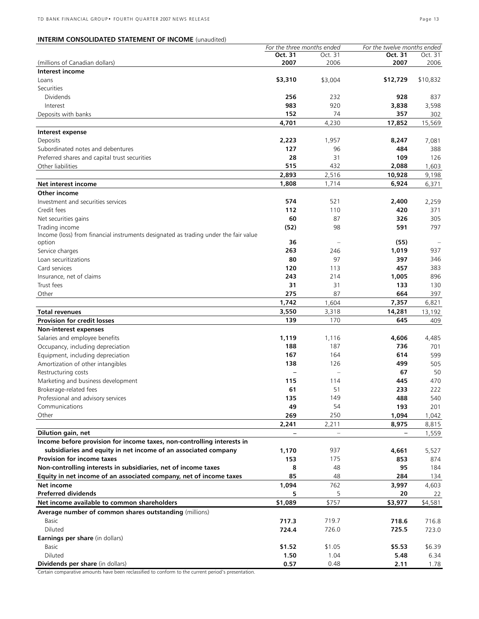## **INTERIM CONSOLIDATED STATEMENT OF INCOME** (unaudited)

|                                                                                     | For the three months ended |         | For the twelve months ended |          |
|-------------------------------------------------------------------------------------|----------------------------|---------|-----------------------------|----------|
|                                                                                     | Oct. 31                    | Oct. 31 | Oct. 31                     | Oct. 31  |
| (millions of Canadian dollars)                                                      | 2007                       | 2006    | 2007                        | 2006     |
| Interest income                                                                     |                            |         |                             |          |
| Loans                                                                               | \$3,310                    | \$3,004 | \$12,729                    | \$10,832 |
| Securities                                                                          |                            |         |                             |          |
| <b>Dividends</b>                                                                    | 256                        | 232     | 928                         | 837      |
| Interest                                                                            | 983                        | 920     | 3,838                       | 3,598    |
| Deposits with banks                                                                 | 152                        | 74      | 357                         | 302      |
|                                                                                     | 4,701                      | 4,230   | 17,852                      | 15,569   |
| Interest expense                                                                    |                            |         |                             |          |
|                                                                                     | 2,223                      | 1,957   | 8,247                       | 7,081    |
| Deposits                                                                            |                            |         |                             |          |
| Subordinated notes and debentures                                                   | 127                        | 96      | 484                         | 388      |
| Preferred shares and capital trust securities                                       | 28                         | 31      | 109                         | 126      |
| Other liabilities                                                                   | 515                        | 432     | 2,088                       | 1,603    |
|                                                                                     | 2,893                      | 2,516   | 10,928                      | 9,198    |
| Net interest income                                                                 | 1,808                      | 1,714   | 6,924                       | 6,371    |
| Other income                                                                        |                            |         |                             |          |
| Investment and securities services                                                  | 574                        | 521     | 2,400                       | 2,259    |
| Credit fees                                                                         | 112                        | 110     | 420                         | 371      |
| Net securities gains                                                                | 60                         | 87      | 326                         | 305      |
| Trading income                                                                      | (52)                       | 98      | 591                         | 797      |
| Income (loss) from financial instruments designated as trading under the fair value |                            |         |                             |          |
| option                                                                              | 36                         |         | (55)                        |          |
| Service charges                                                                     | 263                        | 246     | 1,019                       | 937      |
| Loan securitizations                                                                | 80                         | 97      | 397                         | 346      |
| Card services                                                                       | 120                        |         | 457                         |          |
|                                                                                     |                            | 113     |                             | 383      |
| Insurance, net of claims                                                            | 243                        | 214     | 1,005                       | 896      |
| Trust fees                                                                          | 31                         | 31      | 133                         | 130      |
| Other                                                                               | 275                        | 87      | 664                         | 397      |
|                                                                                     | 1,742                      | 1,604   | 7,357                       | 6,821    |
| <b>Total revenues</b>                                                               | 3,550                      | 3,318   | 14,281                      | 13,192   |
| <b>Provision for credit losses</b>                                                  | 139                        | 170     | 645                         | 409      |
| Non-interest expenses                                                               |                            |         |                             |          |
| Salaries and employee benefits                                                      | 1,119                      | 1,116   | 4,606                       | 4,485    |
| Occupancy, including depreciation                                                   | 188                        | 187     | 736                         | 701      |
| Equipment, including depreciation                                                   | 167                        | 164     | 614                         | 599      |
| Amortization of other intangibles                                                   | 138                        | 126     | 499                         | 505      |
|                                                                                     |                            |         | 67                          | 50       |
| Restructuring costs                                                                 |                            |         |                             |          |
| Marketing and business development                                                  | 115                        | 114     | 445                         | 470      |
| Brokerage-related fees                                                              | 61                         | 51      | 233                         | 222      |
| Professional and advisory services                                                  | 135                        | 149     | 488                         | 540      |
| Communications                                                                      | 49                         | 54      | 193                         | 201      |
| Other                                                                               | 269                        | 250     | 1,094                       | 1,042    |
|                                                                                     | 2,241                      | 2,211   | 8,975                       | 8,815    |
| Dilution gain, net                                                                  |                            |         | -                           | 1,559    |
| Income before provision for income taxes, non-controlling interests in              |                            |         |                             |          |
| subsidiaries and equity in net income of an associated company                      | 1,170                      | 937     | 4,661                       | 5,527    |
| Provision for income taxes                                                          | 153                        | 175     | 853                         | 874      |
| Non-controlling interests in subsidiaries, net of income taxes                      | 8                          | 48      | 95                          | 184      |
|                                                                                     | 85                         | 48      |                             |          |
| Equity in net income of an associated company, net of income taxes                  |                            |         | 284                         | 134      |
| Net income                                                                          | 1,094                      | 762     | 3,997                       | 4,603    |
| <b>Preferred dividends</b>                                                          | 5                          | 5       | 20                          | 22       |
| Net income available to common shareholders                                         | \$1,089                    | \$757   | \$3,977                     | \$4,581  |
| Average number of common shares outstanding (millions)                              |                            |         |                             |          |
| Basic                                                                               | 717.3                      | 719.7   | 718.6                       | 716.8    |
| Diluted                                                                             | 724.4                      | 726.0   | 725.5                       | 723.0    |
| <b>Earnings per share</b> (in dollars)                                              |                            |         |                             |          |
| Basic                                                                               | \$1.52                     | \$1.05  | \$5.53                      | \$6.39   |
| Diluted                                                                             | 1.50                       | 1.04    | 5.48                        | 6.34     |
|                                                                                     |                            |         |                             |          |
| Dividends per share (in dollars)                                                    | 0.57                       | 0.48    | 2.11                        | 1.78     |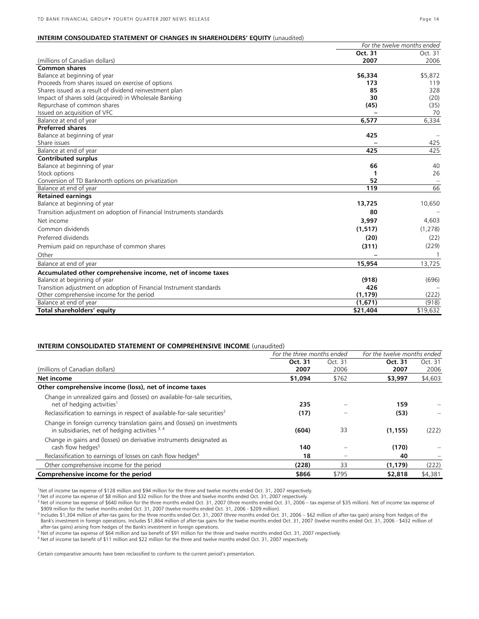|                                                                      | For the twelve months ended |             |
|----------------------------------------------------------------------|-----------------------------|-------------|
|                                                                      | Oct. 31                     | Oct. 31     |
| (millions of Canadian dollars)                                       | 2007                        | 2006        |
| <b>Common shares</b>                                                 |                             |             |
| Balance at beginning of year                                         | \$6,334                     | \$5,872     |
| Proceeds from shares issued on exercise of options                   | 173                         | 119         |
| Shares issued as a result of dividend reinvestment plan              | 85                          | 328         |
| Impact of shares sold (acquired) in Wholesale Banking                | 30                          | (20)        |
| Repurchase of common shares                                          | (45)                        | (35)        |
| Issued on acquisition of VFC                                         |                             | 70          |
| Balance at end of year                                               | 6,577                       | 6,334       |
| <b>Preferred shares</b>                                              |                             |             |
| Balance at beginning of year                                         | 425                         |             |
| Share issues                                                         |                             | 425         |
| Balance at end of year                                               | 425                         | 425         |
| <b>Contributed surplus</b>                                           |                             |             |
| Balance at beginning of year                                         | 66                          | 40          |
| Stock options                                                        | 1                           | 26          |
| Conversion of TD Banknorth options on privatization                  | 52                          |             |
| Balance at end of year                                               | 119                         | 66          |
| <b>Retained earnings</b>                                             |                             |             |
| Balance at beginning of year                                         | 13,725                      | 10,650      |
| Transition adjustment on adoption of Financial Instruments standards | 80                          |             |
| Net income                                                           | 3,997                       | 4,603       |
| Common dividends                                                     | (1, 517)                    | (1,278)     |
| Preferred dividends                                                  | (20)                        | (22)        |
| Premium paid on repurchase of common shares                          | (311)                       | (229)       |
| Other                                                                |                             | $\mathbf 1$ |
| Balance at end of year                                               | 15,954                      | 13,725      |
| Accumulated other comprehensive income, net of income taxes          |                             |             |
| Balance at beginning of year                                         | (918)                       | (696)       |
| Transition adjustment on adoption of Financial Instrument standards  | 426                         |             |
| Other comprehensive income for the period                            | (1, 179)                    | (222)       |
| Balance at end of year                                               | (1,671)                     | (918)       |
| Total shareholders' equity                                           | \$21,404                    | \$19,632    |

## **INTERIM CONSOLIDATED STATEMENT OF COMPREHENSIVE INCOME** (unaudited)

|                                                                                                                               | For the three months ended |         | For the twelve months ended |         |
|-------------------------------------------------------------------------------------------------------------------------------|----------------------------|---------|-----------------------------|---------|
|                                                                                                                               | Oct. 31                    | Oct. 31 | Oct. 31                     | Oct. 31 |
| (millions of Canadian dollars)                                                                                                | 2007                       | 2006    | 2007                        | 2006    |
| Net income                                                                                                                    | \$1,094                    | \$762   | \$3,997                     | \$4,603 |
| Other comprehensive income (loss), net of income taxes                                                                        |                            |         |                             |         |
| Change in unrealized gains and (losses) on available-for-sale securities,<br>net of hedging activities <sup>1</sup>           | 235                        |         | 159                         |         |
| Reclassification to earnings in respect of available-for-sale securities <sup>2</sup>                                         | (17)                       |         | (53)                        |         |
| Change in foreign currency translation gains and (losses) on investments<br>in subsidiaries, net of hedging activities $3, 4$ | (604)                      | 33      | (1, 155)                    | (222)   |
| Change in gains and (losses) on derivative instruments designated as<br>cash flow hedges <sup>5</sup>                         | 140                        |         | (170)                       |         |
| Reclassification to earnings of losses on cash flow hedges <sup>6</sup>                                                       | 18                         |         | 40                          |         |
| Other comprehensive income for the period                                                                                     | (228)                      | 33      | (1, 179)                    | (222)   |
| Comprehensive income for the period                                                                                           | \$866                      | \$795   | \$2,818                     | \$4,381 |

1 Net of income tax expense of \$128 million and \$94 million for the three and twelve months ended Oct. 31, 2007 respectively.

2 Net of income tax expense of \$8 million and \$32 million for the three and twelve months ended Oct. 31, 2007 respectively.

<sup>3</sup> Net of income tax expense of \$640 million for the three months ended Oct. 31, 2007 (three months ended Oct. 31, 2006 – tax expense of \$35 million). Net of income tax expense of

\$909 million for the twelve months ended Oct. 31, 2007 (twelve months ended Oct. 31, 2006 - \$209 million).<br><sup>4</sup> Includes \$1,304 million of after-tax gains for the three months ended Oct. 31, 2006 – \$01 million of after-tax after-tax gains) arising from hedges of the Bank's investment in foreign operations.

Figure take gams ansign our neurges or the banks investment in overgin operations.<br><sup>5</sup> Net of income tax expense of \$64 million and tax benefit of \$91 million for the three and twelve months ended Oct. 31, 2007 respectivel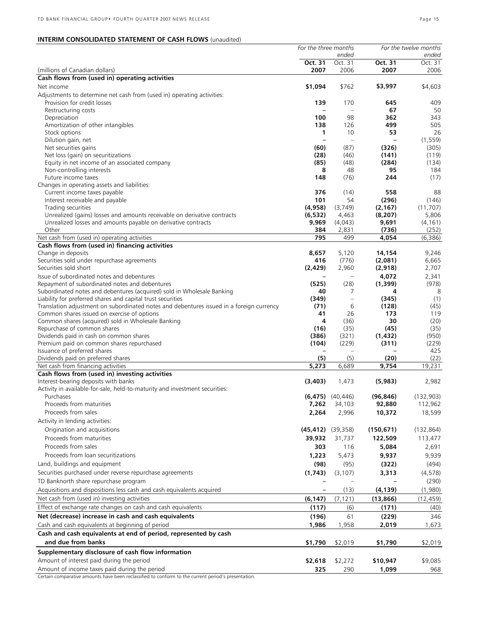|                                                                                          | For the three months    |                      |                          |            |  | For the twelve months |
|------------------------------------------------------------------------------------------|-------------------------|----------------------|--------------------------|------------|--|-----------------------|
|                                                                                          |                         | ended                |                          | ended      |  |                       |
|                                                                                          | Oct. 31                 | Oct. 31              | Oct. 31                  | Oct. 31    |  |                       |
| (millions of Canadian dollars)                                                           | 2007                    | 2006                 | 2007                     | 2006       |  |                       |
| Cash flows from (used in) operating activities                                           |                         |                      |                          |            |  |                       |
| Net income                                                                               | \$1,094                 | \$762                | \$3,997                  | \$4,603    |  |                       |
| Adjustments to determine net cash from (used in) operating activities:                   |                         |                      |                          |            |  |                       |
| Provision for credit losses                                                              | 139                     | 170                  | 645                      | 409        |  |                       |
| Restructuring costs                                                                      |                         |                      | 67                       | 50         |  |                       |
| Depreciation                                                                             | 100                     | 98                   | 362                      | 343        |  |                       |
| Amortization of other intangibles                                                        | 138                     | 126                  | 499                      | 505        |  |                       |
| Stock options                                                                            | 1                       | 10                   | 53                       | 26         |  |                       |
| Dilution gain, net                                                                       | $\overline{a}$          |                      | $\overline{\phantom{0}}$ | (1, 559)   |  |                       |
| Net securities gains                                                                     | (60)                    | (87)                 | (326)                    | (305)      |  |                       |
| Net loss (gain) on securitizations                                                       | (28)                    | (46)                 | (141)                    | (119)      |  |                       |
| Equity in net income of an associated company                                            | (85)                    | (48)                 | (284)                    | (134)      |  |                       |
| Non-controlling interests<br>Future income taxes                                         | 8                       | 48<br>(76)           | 95<br>244                | 184        |  |                       |
|                                                                                          | 148                     |                      |                          | (17)       |  |                       |
| Changes in operating assets and liabilities:<br>Current income taxes payable             | 376                     | (14)                 | 558                      | 88         |  |                       |
| Interest receivable and payable                                                          | 101                     | 54                   | (296)                    | (146)      |  |                       |
| Trading securities                                                                       | (4,958)                 | (3,749)              | (2, 167)                 | (11.707)   |  |                       |
| Unrealized (gains) losses and amounts receivable on derivative contracts                 | (6, 532)                | 4,463                | (8, 207)                 | 5,806      |  |                       |
| Unrealized losses and amounts payable on derivative contracts                            | 9,969                   | (4,043)              | 9,691                    | (4, 161)   |  |                       |
| Other                                                                                    | 384                     | 2,831                | (736)                    | (252)      |  |                       |
| Net cash from (used in) operating activities                                             | 795                     | 499                  | 4,054                    | (6,386)    |  |                       |
| Cash flows from (used in) financing activities                                           |                         |                      |                          |            |  |                       |
| Change in deposits                                                                       | 8,657                   | 5,120                | 14,154                   | 9,246      |  |                       |
| Securities sold under repurchase agreements                                              | 416                     | (776)                | (2,081)                  | 6,665      |  |                       |
| Securities sold short                                                                    | (2,429)                 | 2,960                | (2,918)                  | 2,707      |  |                       |
| Issue of subordinated notes and debentures                                               |                         |                      | 4,072                    | 2,341      |  |                       |
| Repayment of subordinated notes and debentures                                           | (525)                   | (28)                 | (1, 399)                 | (978)      |  |                       |
| Subordinated notes and debentures (acquired) sold in Wholesale Banking                   | 40                      | 7                    | 4                        | 8          |  |                       |
| Liability for preferred shares and capital trust securities                              | (349)                   | $\qquad \qquad -$    | (345)                    | (1)        |  |                       |
| Translation adjustment on subordinated notes and debentures issued in a foreign currency | (71)                    | 6                    | (128)                    | (45)       |  |                       |
| Common shares issued on exercise of options                                              | 41                      | 26                   | 173                      | 119        |  |                       |
| Common shares (acquired) sold in Wholesale Banking                                       | 4                       | (36)                 | 30                       | (20)       |  |                       |
| Repurchase of common shares                                                              | (16)                    | (35)                 | (45)                     | (35)       |  |                       |
| Dividends paid in cash on common shares                                                  | (386)                   | (321)                | (1, 432)                 | (950)      |  |                       |
| Premium paid on common shares repurchased                                                | (104)                   | (229)                | (311)                    | (229)      |  |                       |
| Issuance of preferred shares                                                             |                         |                      |                          | 425        |  |                       |
| Dividends paid on preferred shares                                                       | (5)                     | (5)                  | (20)                     | (22)       |  |                       |
| Net cash from financing activities                                                       | 5,273                   | 6,689                | 9,754                    | 19,231     |  |                       |
| Cash flows from (used in) investing activities                                           |                         |                      |                          |            |  |                       |
| Interest-bearing deposits with banks                                                     | (3,403)                 | 1,473                | (5,983)                  | 2,982      |  |                       |
| Activity in available-for-sale, held-to-maturity and investment securities:              |                         |                      |                          |            |  |                       |
|                                                                                          |                         | $(6,475)$ $(40,446)$ | (96, 846)                | (132,903)  |  |                       |
| Proceeds from maturities                                                                 | 7,262                   | 34,103               | 92,880                   | 112,962    |  |                       |
| Proceeds from sales                                                                      | 2,264                   | 2,996                | 10,372                   | 18,599     |  |                       |
| Activity in lending activities:                                                          |                         |                      |                          |            |  |                       |
| Origination and acquisitions                                                             | $(45, 412)$ $(39, 358)$ |                      | (150, 671)               | (132, 864) |  |                       |
| Proceeds from maturities                                                                 | 39,932                  | 31,737               | 122,509                  | 113,477    |  |                       |
| Proceeds from sales                                                                      | 303                     | 116                  | 5,084                    | 2,691      |  |                       |
| Proceeds from loan securitizations                                                       | 1,223                   | 5,473                | 9,937                    | 9,939      |  |                       |
| Land, buildings and equipment                                                            | (98)                    | (95)                 | (322)                    | (494)      |  |                       |
| Securities purchased under reverse repurchase agreements                                 |                         |                      |                          |            |  |                       |
|                                                                                          | (1,743)                 | (3, 107)             | 3,313                    | (4,578)    |  |                       |
| TD Banknorth share repurchase program                                                    |                         |                      |                          | (290)      |  |                       |
| Acquisitions and dispositions less cash and cash equivalents acquired                    |                         | (13)                 | (4, 139)                 | (1,980)    |  |                       |
| Net cash from (used in) investing activities                                             | (6, 147)                | (7, 121)             | (13, 866)                | (12, 459)  |  |                       |
| Effect of exchange rate changes on cash and cash equivalents                             | (117)                   | (6)                  | (171)                    | (40)       |  |                       |
| Net (decrease) increase in cash and cash equivalents                                     | (196)                   | 61                   | (229)                    | 346        |  |                       |
| Cash and cash equivalents at beginning of period                                         | 1,986                   | 1,958                | 2,019                    | 1,673      |  |                       |
| Cash and cash equivalents at end of period, represented by cash                          |                         |                      |                          |            |  |                       |
| and due from banks                                                                       | \$1,790                 | \$2,019              | \$1,790                  | \$2,019    |  |                       |
| Supplementary disclosure of cash flow information                                        |                         |                      |                          |            |  |                       |
| Amount of interest paid during the period                                                | \$2,618                 | \$2,272              | \$10,947                 | \$9,085    |  |                       |
| Amount of income taxes paid during the period                                            | 325                     | 290                  | 1,099                    | 968        |  |                       |
|                                                                                          |                         |                      |                          |            |  |                       |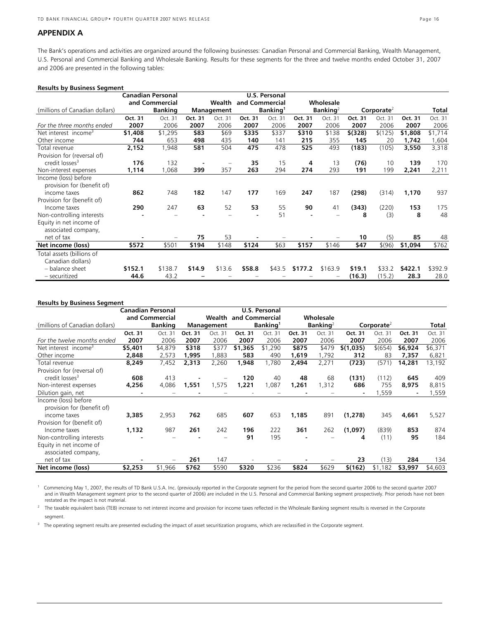#### **APPENDIX A**

The Bank's operations and activities are organized around the following businesses: Canadian Personal and Commercial Banking, Wealth Management, U.S. Personal and Commercial Banking and Wholesale Banking. Results for these segments for the three and twelve months ended October 31, 2007 and 2006 are presented in the following tables:

| <b>Results by Business Segment</b>                 |                |                          |                      |         |                      |         |                      |         |               |         |         |         |
|----------------------------------------------------|----------------|--------------------------|----------------------|---------|----------------------|---------|----------------------|---------|---------------|---------|---------|---------|
|                                                    |                | <b>Canadian Personal</b> | <b>U.S. Personal</b> |         |                      |         |                      |         |               |         |         |         |
|                                                    | and Commercial |                          | Wealth               |         | and Commercial       |         | Wholesale            |         |               |         |         |         |
| (millions of Canadian dollars)                     | <b>Banking</b> |                          | Management           |         | Banking <sup>1</sup> |         | Banking <sup>2</sup> |         | Corporate $4$ |         |         | Total   |
|                                                    | Oct. 31        | Oct. 31                  | Oct. 31              | Oct. 31 | Oct. 31              | Oct. 31 | Oct. 31              | Oct. 31 | Oct. 31       | Oct. 31 | Oct. 31 | Oct. 31 |
| For the three months ended                         | 2007           | 2006                     | 2007                 | 2006    | 2007                 | 2006    | 2007                 | 2006    | 2007          | 2006    | 2007    | 2006    |
| Net interest income <sup>3</sup>                   | \$1,408        | \$1,295                  | \$83                 | \$69    | \$335                | \$337   | \$310                | \$138   | $$$ (328)     | \$(125) | \$1,808 | \$1,714 |
| Other income                                       | 744            | 653                      | 498                  | 435     | 140                  | 141     | 215                  | 355     | 145           | 20      | 1,742   | 1,604   |
| Total revenue                                      | 2,152          | 1,948                    | 581                  | 504     | 475                  | 478     | 525                  | 493     | (183)         | (105)   | 3,550   | 3,318   |
| Provision for (reversal of)                        |                |                          |                      |         |                      |         |                      |         |               |         |         |         |
| credit losses <sup>3</sup>                         | 176            | 132                      |                      |         | 35                   | 15      | 4                    | 13      | (76)          | 10      | 139     | 170     |
| Non-interest expenses                              | 1,114          | 1,068                    | 399                  | 357     | 263                  | 294     | 274                  | 293     | 191           | 199     | 2,241   | 2,211   |
| Income (loss) before<br>provision for (benefit of) |                |                          |                      |         |                      |         |                      |         |               |         |         |         |
| income taxes                                       | 862            | 748                      | 182                  | 147     | 177                  | 169     | 247                  | 187     | (298)         | (314)   | 1,170   | 937     |
| Provision for (benefit of)                         |                |                          |                      |         |                      |         |                      |         |               |         |         |         |
| Income taxes                                       | 290            | 247                      | 63                   | 52      | 53                   | 55      | 90                   | 41      | (343)         | (220)   | 153     | 175     |
| Non-controlling interests                          |                |                          |                      |         |                      | 51      |                      |         | 8             | (3)     | 8       | 48      |
| Equity in net income of<br>associated company,     |                |                          |                      |         |                      |         |                      |         |               |         |         |         |
| net of tax                                         |                |                          | 75                   | 53      |                      |         |                      |         | 10            | (5)     | 85      | 48      |
| Net income (loss)                                  | \$572          | \$501                    | \$194                | \$148   | \$124                | \$63    | \$157                | \$146   | \$47          | \$(96)  | \$1,094 | \$762   |
| Total assets (billions of                          |                |                          |                      |         |                      |         |                      |         |               |         |         |         |
| Canadian dollars)                                  |                |                          |                      |         |                      |         |                      |         |               |         |         |         |
| - balance sheet                                    | \$152.1        | \$138.7                  | \$14.9               | \$13.6  | \$58.8               | \$43.5  | \$177.2              | \$163.9 | \$19.1        | \$33.2  | \$422.1 | \$392.9 |
| - securitized                                      | 44.6           | 43.2                     |                      |         |                      |         |                      |         | (16.3)        | (15.2)  | 28.3    | 28.0    |

#### **Results by Business Segment**

|                                                    |                | <b>Canadian Personal</b> | U.S. Personal |         |                      |         |                             |         |               |         |         |         |
|----------------------------------------------------|----------------|--------------------------|---------------|---------|----------------------|---------|-----------------------------|---------|---------------|---------|---------|---------|
|                                                    | and Commercial |                          |               | Wealth  | and Commercial       |         | Wholesale                   |         |               |         |         |         |
| (millions of Canadian dollars)                     | <b>Banking</b> |                          | Management    |         | Banking <sup>1</sup> |         | <b>Banking</b> <sup>2</sup> |         | Corporate $4$ |         |         | Total   |
|                                                    | Oct. 31        | Oct. 31                  | Oct. 31       | Oct. 31 | Oct. 31              | Oct. 31 | Oct. 31                     | Oct. 31 | Oct. 31       | Oct. 31 | Oct. 31 | Oct. 31 |
| For the twelve months ended                        | 2007           | 2006                     | 2007          | 2006    | 2007                 | 2006    | 2007                        | 2006    | 2007          | 2006    | 2007    | 2006    |
| Net interest income <sup>3</sup>                   | \$5,401        | \$4,879                  | \$318         | \$377   | \$1,365              | \$1,290 | \$875                       | \$479   | \$(1,035)     | \$(654) | \$6,924 | \$6,371 |
| Other income                                       | 2,848          | 2,573                    | 1,995         | 1,883   | 583                  | 490     | 1,619                       | 1,792   | 312           | 83      | 7,357   | 6,821   |
| Total revenue                                      | 8,249          | 7,452                    | 2,313         | 2,260   | 1,948                | 1,780   | 2,494                       | 2,271   | (723)         | (571)   | 14,281  | 13,192  |
| Provision for (reversal of)                        |                |                          |               |         |                      |         |                             |         |               |         |         |         |
| credit losses <sup>3</sup>                         | 608            | 413                      |               |         | 120                  | 40      | 48                          | 68      | (131)         | (112)   | 645     | 409     |
| Non-interest expenses                              | 4,256          | 4,086                    | 1,551         | 1,575   | 1,221                | 1,087   | 1,261                       | 1,312   | 686           | 755     | 8,975   | 8,815   |
| Dilution gain, net                                 |                |                          |               |         |                      |         |                             |         |               | 1,559   |         | 1,559   |
| Income (loss) before<br>provision for (benefit of) |                |                          |               |         |                      |         |                             |         |               |         |         |         |
| income taxes                                       | 3,385          | 2,953                    | 762           | 685     | 607                  | 653     | 1,185                       | 891     | (1,278)       | 345     | 4,661   | 5,527   |
| Provision for (benefit of)                         |                |                          |               |         |                      |         |                             |         |               |         |         |         |
| Income taxes                                       | 1,132          | 987                      | 261           | 242     | 196                  | 222     | 361                         | 262     | (1,097)       | (839)   | 853     | 874     |
| Non-controlling interests                          |                |                          |               |         | 91                   | 195     |                             |         | 4             | (11)    | 95      | 184     |
| Equity in net income of<br>associated company,     |                |                          |               |         |                      |         |                             |         |               |         |         |         |
| net of tax                                         |                |                          | 261           | 147     |                      |         |                             |         | 23            | (13)    | 284     | 134     |
| Net income (loss)                                  | \$2,253        | \$1,966                  | \$762         | \$590   | \$320                | \$236   | \$824                       | \$629   | \$(162)       | \$1,182 | \$3,997 | \$4,603 |

<sup>1</sup> Commencing May 1, 2007, the results of TD Bank U.S.A. Inc. (previously reported in the Corporate segment for the period from the second quarter 2006 to the second quarter 2007 and in Wealth Management segment prior to the second quarter of 2006) are included in the U.S. Personal and Commercial Banking segment prospectively. Prior periods have not been and in Wealth Management segment prospective restated as the impact is not material.

<sup>2</sup> The taxable equivalent basis (TEB) increase to net interest income and provision for income taxes reflected in the Wholesale Banking segment results is reversed in the Corporate segment.

<sup>3</sup> The operating segment results are presented excluding the impact of asset securitization programs, which are reclassified in the Corporate segment.